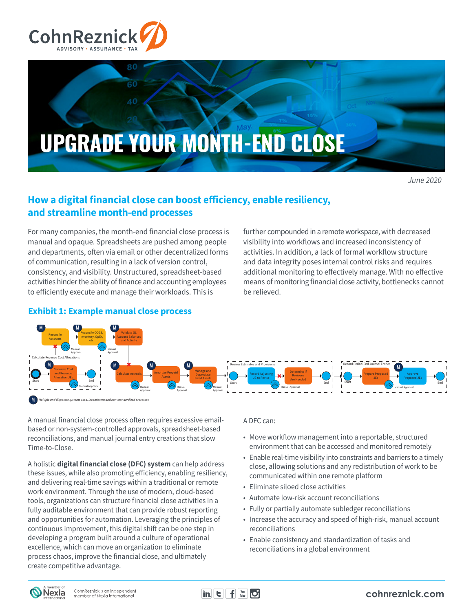



*June 2020*

# **How a digital financial close can boost efficiency, enable resiliency, and streamline month-end processes**

For many companies, the month-end financial close process is manual and opaque. Spreadsheets are pushed among people and departments, often via email or other decentralized forms of communication, resulting in a lack of version control, consistency, and visibility. Unstructured, spreadsheet-based activities hinder the ability of finance and accounting employees to efficiently execute and manage their workloads. This is

further compounded in a remote workspace, with decreased visibility into workflows and increased inconsistency of activities. In addition, a lack of formal workflow structure and data integrity poses internal control risks and requires additional monitoring to effectively manage. With no effective means of monitoring financial close activity, bottlenecks cannot be relieved.



## **Exhibit 1: Example manual close process**

A manual financial close process often requires excessive emailbased or non-system-controlled approvals, spreadsheet-based reconciliations, and manual journal entry creations that slow Time-to-Close.

A holistic **digital financial close (DFC) system** can help address these issues, while also promoting efficiency, enabling resiliency, and delivering real-time savings within a traditional or remote work environment. Through the use of modern, cloud-based tools, organizations can structure financial close activities in a fully auditable environment that can provide robust reporting and opportunities for automation. Leveraging the principles of continuous improvement, this digital shift can be one step in developing a program built around a culture of operational excellence, which can move an organization to eliminate process chaos, improve the financial close, and ultimately create competitive advantage.

### A DFC can:

- Move workflow management into a reportable, structured environment that can be accessed and monitored remotely
- Enable real-time visibility into constraints and barriers to a timely close, allowing solutions and any redistribution of work to be communicated within one remote platform
- Eliminate siloed close activities
- Automate low-risk account reconciliations
- Fully or partially automate subledger reconciliations
- Increase the accuracy and speed of high-risk, manual account reconciliations
- Enable consistency and standardization of tasks and reconciliations in a global environment